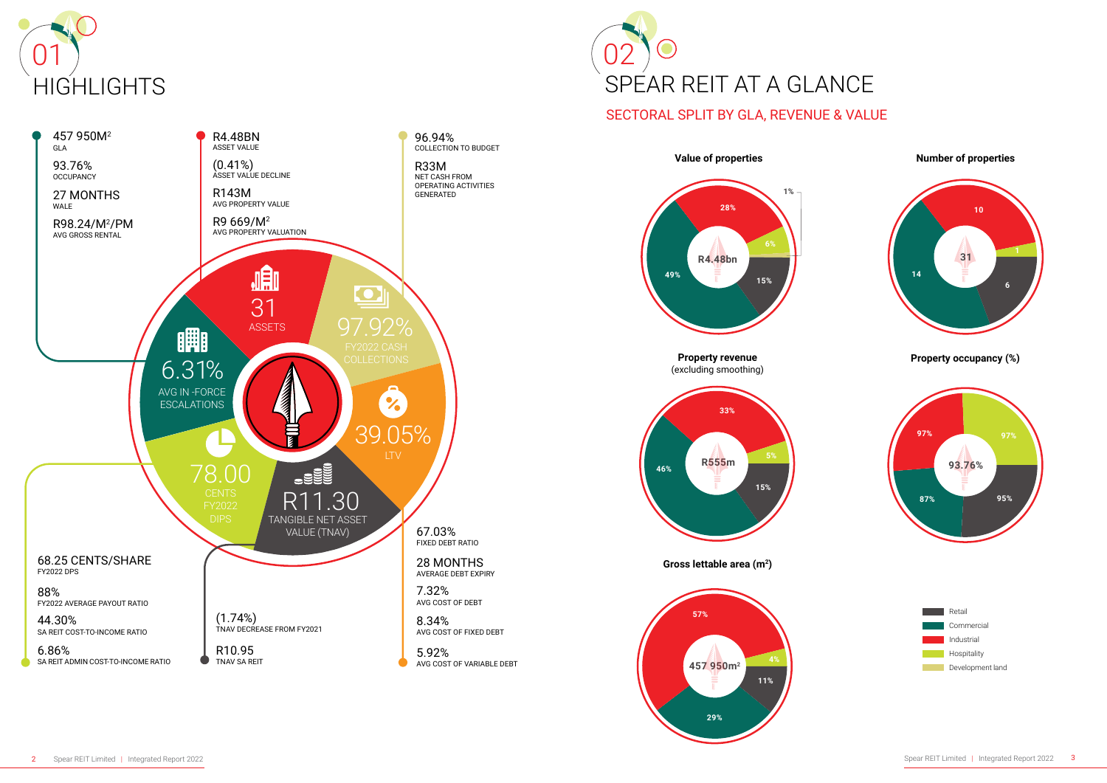



# SECTORAL SPLIT BY GLA, REVENUE & VALUE



**Property revenue** (excluding smoothing)



## **Number of properties**

## **Property occupancy (%)**

**Gross lettable area (m<sup>2</sup>)**